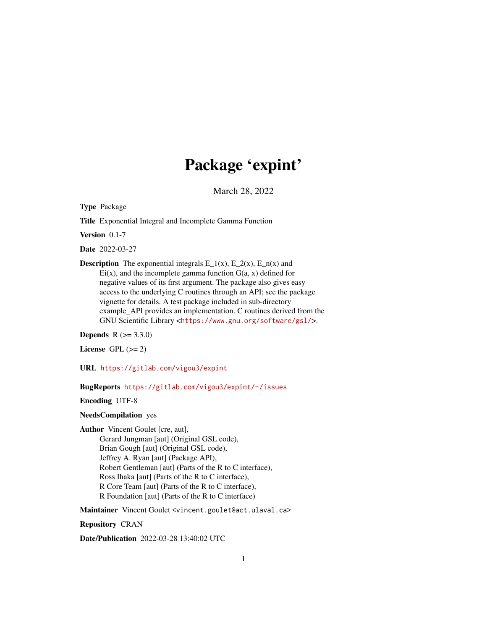# Package 'expint'

March 28, 2022

<span id="page-0-0"></span>Type Package

Title Exponential Integral and Incomplete Gamma Function

Version 0.1-7

Date 2022-03-27

**Description** The exponential integrals  $E_1(x)$ ,  $E_2(x)$ ,  $E_n(x)$  and  $Ei(x)$ , and the incomplete gamma function  $G(a, x)$  defined for negative values of its first argument. The package also gives easy access to the underlying C routines through an API; see the package vignette for details. A test package included in sub-directory example\_API provides an implementation. C routines derived from the GNU Scientific Library <<https://www.gnu.org/software/gsl/>>.

**Depends**  $R (= 3.3.0)$ 

License GPL  $(>= 2)$ 

URL <https://gitlab.com/vigou3/expint>

BugReports <https://gitlab.com/vigou3/expint/-/issues>

Encoding UTF-8

NeedsCompilation yes

Author Vincent Goulet [cre, aut], Gerard Jungman [aut] (Original GSL code), Brian Gough [aut] (Original GSL code), Jeffrey A. Ryan [aut] (Package API), Robert Gentleman [aut] (Parts of the R to C interface), Ross Ihaka [aut] (Parts of the R to C interface), R Core Team [aut] (Parts of the R to C interface), R Foundation [aut] (Parts of the R to C interface)

Maintainer Vincent Goulet <vincent.goulet@act.ulaval.ca>

Repository CRAN

Date/Publication 2022-03-28 13:40:02 UTC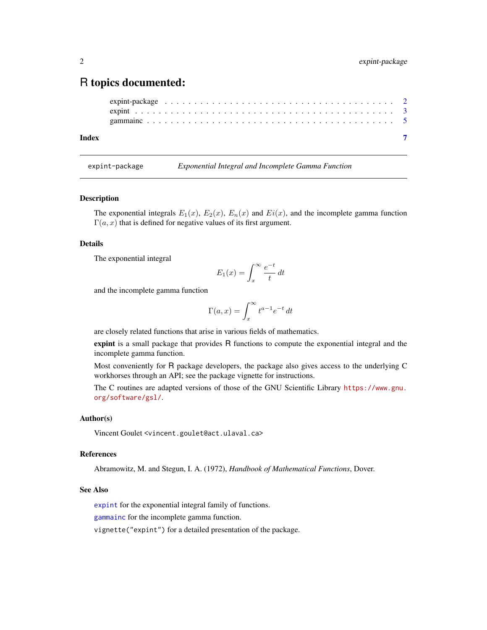# <span id="page-1-0"></span>R topics documented:

```
expint-package . . . . . . . . . . . . . . . . . . . . . . . . . . . . . . . . . . . . . . . 2
expint . . . . . . . . . . . . . . . . . . . . . . . . . . . . . . . . . . . . . . . . . . . . 3
gammainc . . . . . . . . . . . . . . . . . . . . . . . . . . . . . . . . . . . . . . . . . . 5
```
#### **Index** [7](#page-6-0) **7**

expint-package *Exponential Integral and Incomplete Gamma Function*

#### Description

The exponential integrals  $E_1(x)$ ,  $E_2(x)$ ,  $E_n(x)$  and  $E_i(x)$ , and the incomplete gamma function  $\Gamma(a, x)$  that is defined for negative values of its first argument.

#### Details

The exponential integral

$$
E_1(x) = \int_x^{\infty} \frac{e^{-t}}{t} dt
$$

and the incomplete gamma function

$$
\Gamma(a, x) = \int_x^{\infty} t^{a-1} e^{-t} dt
$$

are closely related functions that arise in various fields of mathematics.

expint is a small package that provides R functions to compute the exponential integral and the incomplete gamma function.

Most conveniently for R package developers, the package also gives access to the underlying C workhorses through an API; see the package vignette for instructions.

The C routines are adapted versions of those of the GNU Scientific Library [https://www.gnu.](https://www.gnu.org/software/gsl/) [org/software/gsl/](https://www.gnu.org/software/gsl/).

#### Author(s)

Vincent Goulet <vincent.goulet@act.ulaval.ca>

#### References

Abramowitz, M. and Stegun, I. A. (1972), *Handbook of Mathematical Functions*, Dover.

#### See Also

[expint](#page-2-1) for the exponential integral family of functions.

[gammainc](#page-4-1) for the incomplete gamma function.

vignette("expint") for a detailed presentation of the package.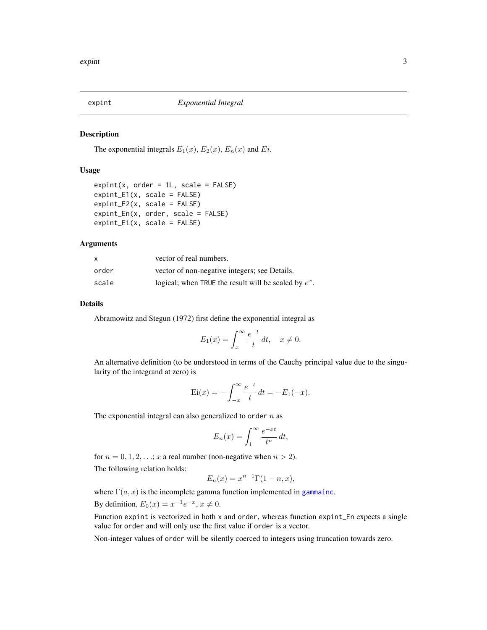<span id="page-2-1"></span><span id="page-2-0"></span>

#### Description

The exponential integrals  $E_1(x)$ ,  $E_2(x)$ ,  $E_n(x)$  and  $E_i$ .

#### Usage

```
expint(x, order = 1L, scale = FALSE)expint_E1(x, scale = FALSE)expint_E2(x, scale = FALSE)
expint_En(x, order, scale = FALSE)
expint_Ei(x, scale = FALSE)
```
#### Arguments

| X     | vector of real numbers.                                 |
|-------|---------------------------------------------------------|
| order | vector of non-negative integers; see Details.           |
| scale | logical; when TRUE the result will be scaled by $e^x$ . |

#### Details

Abramowitz and Stegun (1972) first define the exponential integral as

$$
E_1(x) = \int_x^{\infty} \frac{e^{-t}}{t} dt, \quad x \neq 0.
$$

An alternative definition (to be understood in terms of the Cauchy principal value due to the singularity of the integrand at zero) is

$$
Ei(x) = -\int_{-x}^{\infty} \frac{e^{-t}}{t} dt = -E_1(-x).
$$

The exponential integral can also generalized to order  $n$  as

$$
E_n(x) = \int_1^{\infty} \frac{e^{-xt}}{t^n} dt,
$$

for  $n = 0, 1, 2, \ldots; x$  a real number (non-negative when  $n > 2$ ). The following relation holds:

$$
E_n(x) = x^{n-1} \Gamma(1 - n, x),
$$

where  $\Gamma(a, x)$  is the incomplete gamma function implemented in [gammainc](#page-4-1).

By definition,  $E_0(x) = x^{-1}e^{-x}$ ,  $x \neq 0$ .

Function expint is vectorized in both x and order, whereas function expint\_En expects a single value for order and will only use the first value if order is a vector.

Non-integer values of order will be silently coerced to integers using truncation towards zero.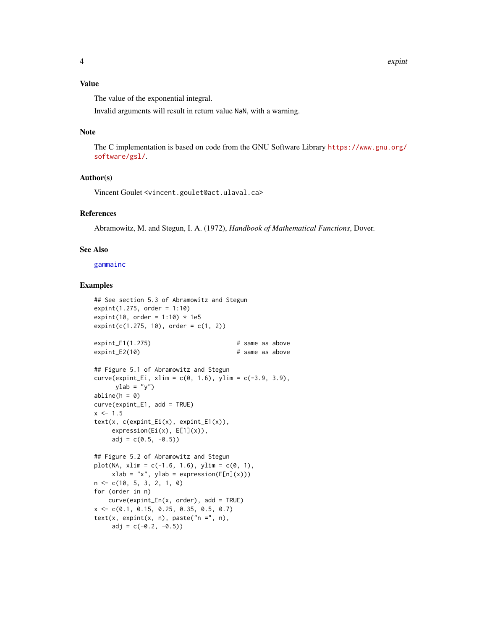<span id="page-3-0"></span>The value of the exponential integral.

Invalid arguments will result in return value NaN, with a warning.

#### Note

The C implementation is based on code from the GNU Software Library [https://www.gnu.org/](https://www.gnu.org/software/gsl/) [software/gsl/](https://www.gnu.org/software/gsl/).

#### Author(s)

Vincent Goulet <vincent.goulet@act.ulaval.ca>

#### References

Abramowitz, M. and Stegun, I. A. (1972), *Handbook of Mathematical Functions*, Dover.

#### See Also

[gammainc](#page-4-1)

#### Examples

```
## See section 5.3 of Abramowitz and Stegun
expint(1.275, order = 1:10)expint(10, order = 1:10) * 1e5
expint(c(1.275, 10), order = c(1, 2))expint_E1(1.275) # same as above
expint_E2(10) # same as above
## Figure 5.1 of Abramowitz and Stegun
curve(expint_Ei, xlim = c(0, 1.6), ylim = c(-3.9, 3.9),ylab = "y")
abline(h = 0)curve(expint_E1, add = TRUE)
x < -1.5text(x, c(expint_Ei(x), expint_E1(x)),
    expression(Ei(x), E[1](x)),adj = c(0.5, -0.5)## Figure 5.2 of Abramowitz and Stegun
plot(NA, xlim = c(-1.6, 1.6), ylim = c(0, 1),xlab = "x", ylab = expression(E[n](x)))n <- c(10, 5, 3, 2, 1, 0)
for (order in n)
   curve(expint_En(x, order), add = TRUE)
x <- c(0.1, 0.15, 0.25, 0.35, 0.5, 0.7)
text(x, expint(x, n), paste("n =", n),
    adj = c(-0.2, -0.5)
```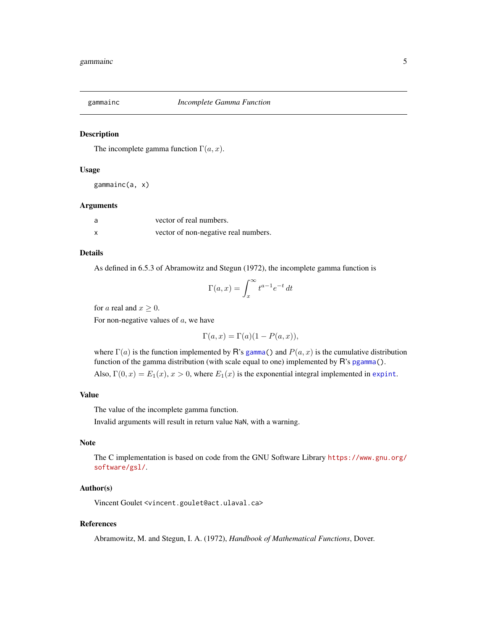<span id="page-4-1"></span><span id="page-4-0"></span>

#### Description

The incomplete gamma function  $\Gamma(a, x)$ .

#### Usage

gammainc(a, x)

#### Arguments

| a                         | vector of real numbers.              |
|---------------------------|--------------------------------------|
| $\boldsymbol{\mathsf{x}}$ | vector of non-negative real numbers. |

# Details

As defined in 6.5.3 of Abramowitz and Stegun (1972), the incomplete gamma function is

$$
\Gamma(a, x) = \int_x^{\infty} t^{a-1} e^{-t} dt
$$

for *a* real and  $x \geq 0$ .

For non-negative values of  $a$ , we have

$$
\Gamma(a, x) = \Gamma(a)(1 - P(a, x)),
$$

where  $\Gamma(a)$  is the function implemented by R's [gamma\(](#page-0-0)) and  $P(a, x)$  is the cumulative distribution function of the gamma distribution (with scale equal to one) implemented by R's [pgamma\(](#page-0-0)).

Also,  $\Gamma(0, x) = E_1(x), x > 0$ , where  $E_1(x)$  is the exponential integral implemented in [expint](#page-2-1).

#### Value

The value of the incomplete gamma function.

Invalid arguments will result in return value NaN, with a warning.

#### Note

The C implementation is based on code from the GNU Software Library [https://www.gnu.org/](https://www.gnu.org/software/gsl/) [software/gsl/](https://www.gnu.org/software/gsl/).

#### Author(s)

Vincent Goulet <vincent.goulet@act.ulaval.ca>

#### References

Abramowitz, M. and Stegun, I. A. (1972), *Handbook of Mathematical Functions*, Dover.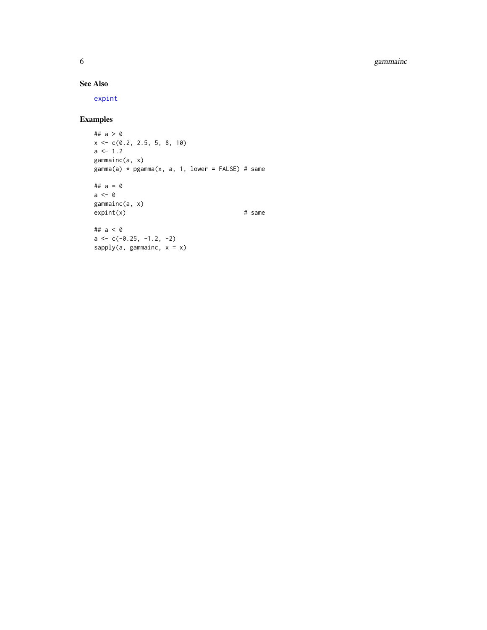<span id="page-5-0"></span>6 gammainc

## See Also

[expint](#page-2-1)

### Examples

```
## a > 0
x \leftarrow c(0.2, 2.5, 5, 8, 10)a \leftarrow 1.2gammainc(a, x)
gamma(a) * pgamma(x, a, 1, lower = FALSE) # same
## a = 0
a \leftarrow 0gammainc(a, x)
\expint(x) # same
## a < 0
a \leftarrow c(-0.25, -1.2, -2)sapply(a, gammainc, x = x)
```